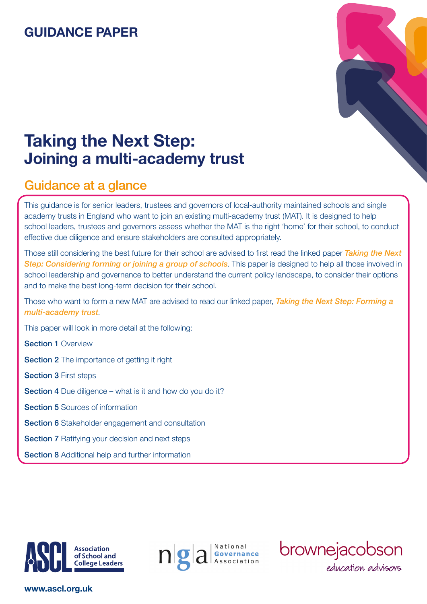# **GUIDANCE PAPER**



# **Taking the Next Step: Joining a multi-academy trust**

## Guidance at a glance

This guidance is for senior leaders, trustees and governors of local-authority maintained schools and single academy trusts in England who want to join an existing multi-academy trust (MAT). It is designed to help school leaders, trustees and governors assess whether the MAT is the right 'home' for their school, to conduct effective due diligence and ensure stakeholders are consulted appropriately.

Those still considering the best future for their school are advised to first read the linked paper *[Taking the Next](https://www.ascl.org.uk/utilities/document-summary.html?id=BAAE2B30-BD97-496C-9661B63535C31EF6)*  **[Step: Considering forming or joining a group of schools](https://www.ascl.org.uk/utilities/document-summary.html?id=BAAE2B30-BD97-496C-9661B63535C31EF6)**. This paper is designed to help all those involved in school leadership and governance to better understand the current policy landscape, to consider their options and to make the best long-term decision for their school.

Those who want to form a new MAT are advised to read our linked paper, *[Taking the Next Step: Forming a](https://www.ascl.org.uk/utilities/document-summary.html?id=887DA3F2-5F24-49DC-86C36A6CE3E845B6)  [multi-academy trust](https://www.ascl.org.uk/utilities/document-summary.html?id=887DA3F2-5F24-49DC-86C36A6CE3E845B6)*.

This paper will look in more detail at the following:

Section 1 Overview

Section 2 The importance of getting it right

**Section 3 First steps** 

Section 4 Due diligence – what is it and how do you do it?

Section 5 Sources of information

- **Section 6** Stakeholder engagement and consultation
- **Section 7 Ratifying your decision and next steps**

**Section 8** Additional help and further information







### **www.ascl.org.uk**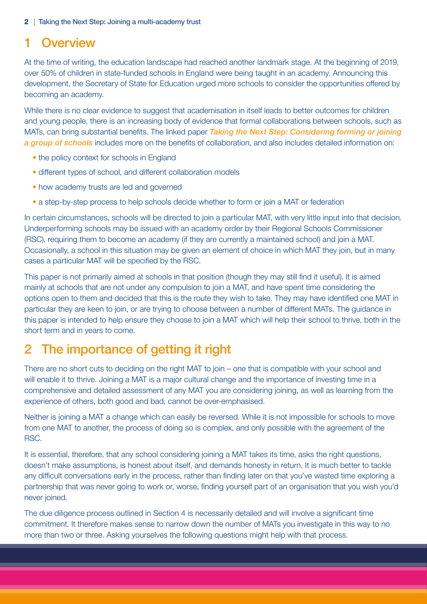## 1 Overview

At the time of writing, the education landscape had reached another landmark stage. At the beginning of 2019, over 50% of children in state-funded schools in England were being taught in an academy. Announcing this development, the Secretary of State for Education urged more schools to consider the opportunities offered by becoming an academy.

While there is no clear evidence to suggest that academisation in itself leads to better outcomes for children and young people, there is an increasing body of evidence that formal collaborations between schools, such as MATs, can bring substantial benefits. The linked paper *[Taking the Next Step: Considering forming or joining](https://www.ascl.org.uk/utilities/document-summary.html?id=BAAE2B30-BD97-496C-9661B63535C31EF6)  [a group of schools](https://www.ascl.org.uk/utilities/document-summary.html?id=BAAE2B30-BD97-496C-9661B63535C31EF6)* includes more on the benefits of collaboration, and also includes detailed information on:

- the policy context for schools in England
- different types of school, and different collaboration models
- how academy trusts are led and governed
- a step-by-step process to help schools decide whether to form or join a MAT or federation

In certain circumstances, schools will be directed to join a particular MAT, with very little input into that decision. Underperforming schools may be issued with an academy order by their Regional Schools Commissioner (RSC), requiring them to become an academy (if they are currently a maintained school) and join a MAT. Occasionally, a school in this situation may be given an element of choice in which MAT they join, but in many cases a particular MAT will be specified by the RSC.

This paper is not primarily aimed at schools in that position (though they may still find it useful). It is aimed mainly at schools that are not under any compulsion to join a MAT, and have spent time considering the options open to them and decided that this is the route they wish to take. They may have identified one MAT in particular they are keen to join, or are trying to choose between a number of different MATs. The guidance in this paper is intended to help ensure they choose to join a MAT which will help their school to thrive, both in the short term and in years to come.

# 2 The importance of getting it right

There are no short cuts to deciding on the right MAT to join – one that is compatible with your school and will enable it to thrive. Joining a MAT is a major cultural change and the importance of investing time in a comprehensive and detailed assessment of any MAT you are considering joining, as well as learning from the experience of others, both good and bad, cannot be over-emphasised.

Neither is joining a MAT a change which can easily be reversed. While it is not impossible for schools to move from one MAT to another, the process of doing so is complex, and only possible with the agreement of the RSC.

It is essential, therefore, that any school considering joining a MAT takes its time, asks the right questions, doesn't make assumptions, is honest about itself, and demands honesty in return. It is much better to tackle any difficult conversations early in the process, rather than finding later on that you've wasted time exploring a partnership that was never going to work or, worse, finding yourself part of an organisation that you wish you'd never joined.

The due diligence process outlined in Section 4 is necessarily detailed and will involve a significant time commitment. It therefore makes sense to narrow down the number of MATs you investigate in this way to no more than two or three. Asking yourselves the following questions might help with that process.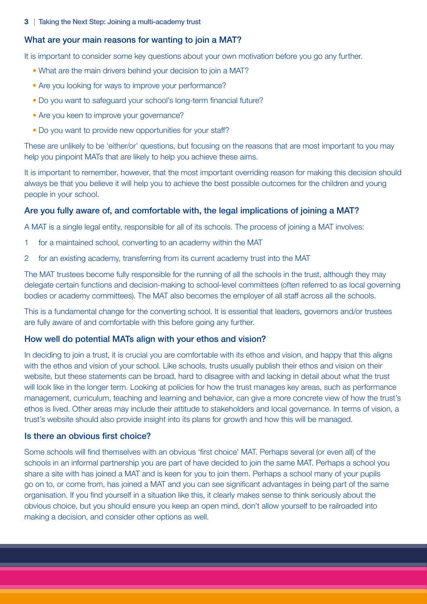## What are your main reasons for wanting to join a MAT?

It is important to consider some key questions about your own motivation before you go any further.

- What are the main drivers behind your decision to join a MAT?
- Are you looking for ways to improve your performance?
- Do you want to safeguard your school's long-term financial future?
- Are you keen to improve your governance?
- Do you want to provide new opportunities for your staff?

These are unlikely to be 'either/or' questions, but focusing on the reasons that are most important to you may help you pinpoint MATs that are likely to help you achieve these aims.

It is important to remember, however, that the most important overriding reason for making this decision should always be that you believe it will help you to achieve the best possible outcomes for the children and young people in your school.

## Are you fully aware of, and comfortable with, the legal implications of joining a MAT?

A MAT is a single legal entity, responsible for all of its schools. The process of joining a MAT involves:

- 1 for a maintained school, converting to an academy within the MAT
- 2 for an existing academy, transferring from its current academy trust into the MAT

The MAT trustees become fully responsible for the running of all the schools in the trust, although they may delegate certain functions and decision-making to school-level committees (often referred to as local governing bodies or academy committees). The MAT also becomes the employer of all staff across all the schools.

This is a fundamental change for the converting school. It is essential that leaders, governors and/or trustees are fully aware of and comfortable with this before going any further.

## How well do potential MATs align with your ethos and vision?

In deciding to join a trust, it is crucial you are comfortable with its ethos and vision, and happy that this aligns with the ethos and vision of your school. Like schools, trusts usually publish their ethos and vision on their website, but these statements can be broad, hard to disagree with and lacking in detail about what the trust will look like in the longer term. Looking at policies for how the trust manages key areas, such as performance management, curriculum, teaching and learning and behavior, can give a more concrete view of how the trust's ethos is lived. Other areas may include their attitude to stakeholders and local governance. In terms of vision, a trust's website should also provide insight into its plans for growth and how this will be managed.

## Is there an obvious first choice?

Some schools will find themselves with an obvious 'first choice' MAT. Perhaps several (or even all) of the schools in an informal partnership you are part of have decided to join the same MAT. Perhaps a school you share a site with has joined a MAT and is keen for you to join them. Perhaps a school many of your pupils go on to, or come from, has joined a MAT and you can see significant advantages in being part of the same organisation. If you find yourself in a situation like this, it clearly makes sense to think seriously about the obvious choice, but you should ensure you keep an open mind, don't allow yourself to be railroaded into making a decision, and consider other options as well.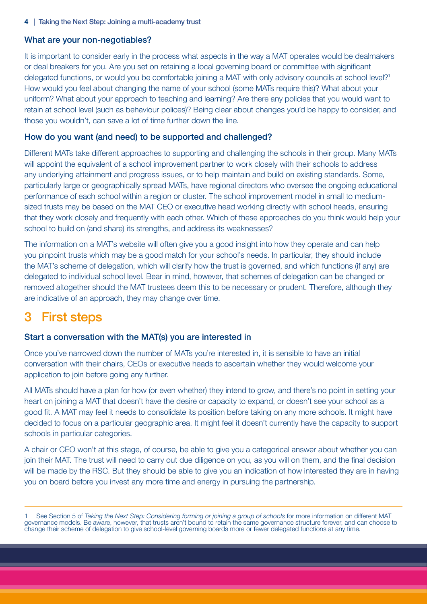## What are your non-negotiables?

It is important to consider early in the process what aspects in the way a MAT operates would be dealmakers or deal breakers for you. Are you set on retaining a local governing board or committee with significant delegated functions, or would you be comfortable joining a MAT with only advisory councils at school level?<sup>1</sup> How would you feel about changing the name of your school (some MATs require this)? What about your uniform? What about your approach to teaching and learning? Are there any policies that you would want to retain at school level (such as behaviour polices)? Being clear about changes you'd be happy to consider, and those you wouldn't, can save a lot of time further down the line.

## How do you want (and need) to be supported and challenged?

Different MATs take different approaches to supporting and challenging the schools in their group. Many MATs will appoint the equivalent of a school improvement partner to work closely with their schools to address any underlying attainment and progress issues, or to help maintain and build on existing standards. Some, particularly large or geographically spread MATs, have regional directors who oversee the ongoing educational performance of each school within a region or cluster. The school improvement model in small to mediumsized trusts may be based on the MAT CEO or executive head working directly with school heads, ensuring that they work closely and frequently with each other. Which of these approaches do you think would help your school to build on (and share) its strengths, and address its weaknesses?

The information on a MAT's website will often give you a good insight into how they operate and can help you pinpoint trusts which may be a good match for your school's needs. In particular, they should include the MAT's scheme of delegation, which will clarify how the trust is governed, and which functions (if any) are delegated to individual school level. Bear in mind, however, that schemes of delegation can be changed or removed altogether should the MAT trustees deem this to be necessary or prudent. Therefore, although they are indicative of an approach, they may change over time.

# 3 First steps

## Start a conversation with the MAT(s) you are interested in

Once you've narrowed down the number of MATs you're interested in, it is sensible to have an initial conversation with their chairs, CEOs or executive heads to ascertain whether they would welcome your application to join before going any further.

All MATs should have a plan for how (or even whether) they intend to grow, and there's no point in setting your heart on joining a MAT that doesn't have the desire or capacity to expand, or doesn't see your school as a good fit. A MAT may feel it needs to consolidate its position before taking on any more schools. It might have decided to focus on a particular geographic area. It might feel it doesn't currently have the capacity to support schools in particular categories.

A chair or CEO won't at this stage, of course, be able to give you a categorical answer about whether you can join their MAT. The trust will need to carry out due diligence on you, as you will on them, and the final decision will be made by the RSC. But they should be able to give you an indication of how interested they are in having you on board before you invest any more time and energy in pursuing the partnership.

<sup>1</sup> See Section 5 of *Taking the Next Step: Considering forming or joining a group of schools* for more information on different MAT governance models. Be aware, however, that trusts aren't bound to retain the same governance structure forever, and can choose to change their scheme of delegation to give school-level governing boards more or fewer delegated functions at any time.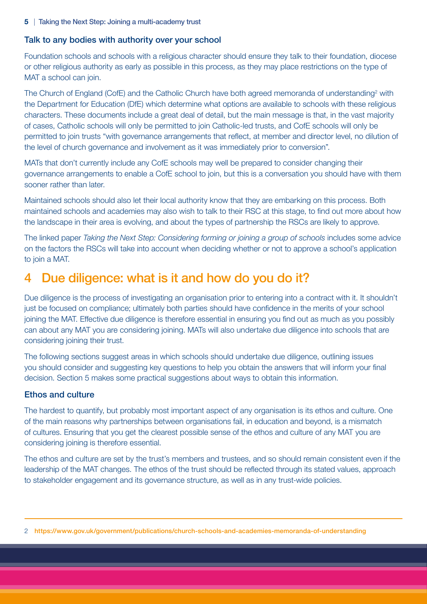## Talk to any bodies with authority over your school

Foundation schools and schools with a religious character should ensure they talk to their foundation, diocese or other religious authority as early as possible in this process, as they may place restrictions on the type of MAT a school can join.

The Church of England (CofE) and the Catholic Church have both agreed memoranda of understanding<sup>2</sup> with the Department for Education (DfE) which determine what options are available to schools with these religious characters. These documents include a great deal of detail, but the main message is that, in the vast majority of cases, Catholic schools will only be permitted to join Catholic-led trusts, and CofE schools will only be permitted to join trusts "with governance arrangements that reflect, at member and director level, no dilution of the level of church governance and involvement as it was immediately prior to conversion".

MATs that don't currently include any CofE schools may well be prepared to consider changing their governance arrangements to enable a CofE school to join, but this is a conversation you should have with them sooner rather than later.

Maintained schools should also let their local authority know that they are embarking on this process. Both maintained schools and academies may also wish to talk to their RSC at this stage, to find out more about how the landscape in their area is evolving, and about the types of partnership the RSCs are likely to approve.

The linked paper *Taking the Next Step: Considering forming or joining a group of schools* includes some advice on the factors the RSCs will take into account when deciding whether or not to approve a school's application to join a MAT.

## 4 Due diligence: what is it and how do you do it?

Due diligence is the process of investigating an organisation prior to entering into a contract with it. It shouldn't just be focused on compliance; ultimately both parties should have confidence in the merits of your school joining the MAT. Effective due diligence is therefore essential in ensuring you find out as much as you possibly can about any MAT you are considering joining. MATs will also undertake due diligence into schools that are considering joining their trust.

The following sections suggest areas in which schools should undertake due diligence, outlining issues you should consider and suggesting key questions to help you obtain the answers that will inform your final decision. Section 5 makes some practical suggestions about ways to obtain this information.

## Ethos and culture

The hardest to quantify, but probably most important aspect of any organisation is its ethos and culture. One of the main reasons why partnerships between organisations fail, in education and beyond, is a mismatch of cultures. Ensuring that you get the clearest possible sense of the ethos and culture of any MAT you are considering joining is therefore essential.

The ethos and culture are set by the trust's members and trustees, and so should remain consistent even if the leadership of the MAT changes. The ethos of the trust should be reflected through its stated values, approach to stakeholder engagement and its governance structure, as well as in any trust-wide policies.

<sup>2</sup> https://www.gov.uk/government/publications/church-schools-and-academies-memoranda-of-understanding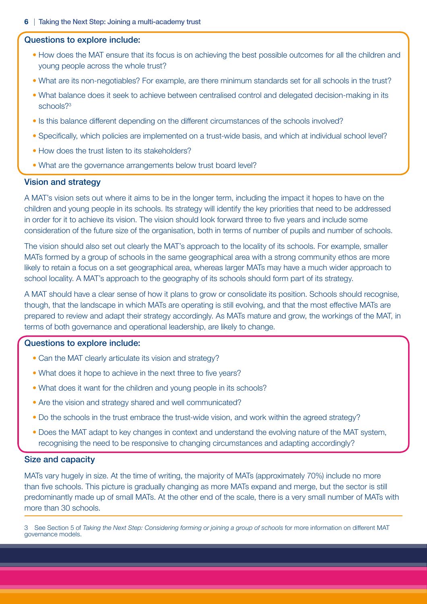#### Questions to explore include:

- How does the MAT ensure that its focus is on achieving the best possible outcomes for all the children and young people across the whole trust?
- What are its non-negotiables? For example, are there minimum standards set for all schools in the trust?
- What balance does it seek to achieve between centralised control and delegated decision-making in its schools?<sup>3</sup>
- Is this balance different depending on the different circumstances of the schools involved?
- Specifically, which policies are implemented on a trust-wide basis, and which at individual school level?
- How does the trust listen to its stakeholders?
- What are the governance arrangements below trust board level?

#### Vision and strategy

A MAT's vision sets out where it aims to be in the longer term, including the impact it hopes to have on the children and young people in its schools. Its strategy will identify the key priorities that need to be addressed in order for it to achieve its vision. The vision should look forward three to five years and include some consideration of the future size of the organisation, both in terms of number of pupils and number of schools.

The vision should also set out clearly the MAT's approach to the locality of its schools. For example, smaller MATs formed by a group of schools in the same geographical area with a strong community ethos are more likely to retain a focus on a set geographical area, whereas larger MATs may have a much wider approach to school locality. A MAT's approach to the geography of its schools should form part of its strategy.

A MAT should have a clear sense of how it plans to grow or consolidate its position. Schools should recognise, though, that the landscape in which MATs are operating is still evolving, and that the most effective MATs are prepared to review and adapt their strategy accordingly. As MATs mature and grow, the workings of the MAT, in terms of both governance and operational leadership, are likely to change.

### Questions to explore include:

- Can the MAT clearly articulate its vision and strategy?
- What does it hope to achieve in the next three to five years?
- What does it want for the children and young people in its schools?
- Are the vision and strategy shared and well communicated?
- Do the schools in the trust embrace the trust-wide vision, and work within the agreed strategy?
- Does the MAT adapt to key changes in context and understand the evolving nature of the MAT system, recognising the need to be responsive to changing circumstances and adapting accordingly?

### Size and capacity

MATs vary hugely in size. At the time of writing, the majority of MATs (approximately 70%) include no more than five schools. This picture is gradually changing as more MATs expand and merge, but the sector is still predominantly made up of small MATs. At the other end of the scale, there is a very small number of MATs with more than 30 schools.

3 See Section 5 of *Taking the Next Step: Considering forming or joining a group of schools* for more information on different MAT governance models.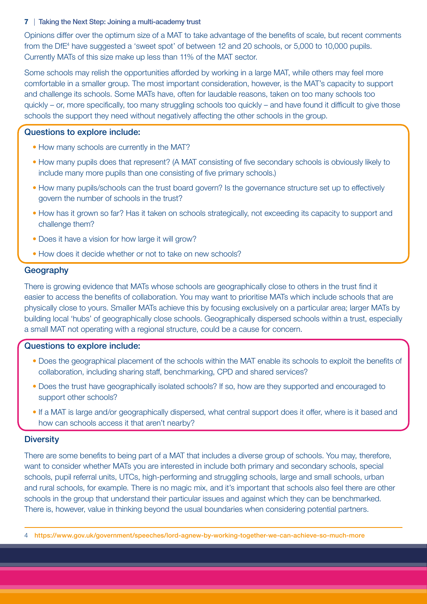Opinions differ over the optimum size of a MAT to take advantage of the benefits of scale, but recent comments from the DfE<sup>4</sup> have suggested a 'sweet spot' of between 12 and 20 schools, or 5,000 to 10,000 pupils. Currently MATs of this size make up less than 11% of the MAT sector.

Some schools may relish the opportunities afforded by working in a large MAT, while others may feel more comfortable in a smaller group. The most important consideration, however, is the MAT's capacity to support and challenge its schools. Some MATs have, often for laudable reasons, taken on too many schools too quickly – or, more specifically, too many struggling schools too quickly – and have found it difficult to give those schools the support they need without negatively affecting the other schools in the group.

## Questions to explore include:

- How many schools are currently in the MAT?
- How many pupils does that represent? (A MAT consisting of five secondary schools is obviously likely to include many more pupils than one consisting of five primary schools.)
- How many pupils/schools can the trust board govern? Is the governance structure set up to effectively govern the number of schools in the trust?
- How has it grown so far? Has it taken on schools strategically, not exceeding its capacity to support and challenge them?
- Does it have a vision for how large it will grow?
- How does it decide whether or not to take on new schools?

## **Geography**

There is growing evidence that MATs whose schools are geographically close to others in the trust find it easier to access the benefits of collaboration. You may want to prioritise MATs which include schools that are physically close to yours. Smaller MATs achieve this by focusing exclusively on a particular area; larger MATs by building local 'hubs' of geographically close schools. Geographically dispersed schools within a trust, especially a small MAT not operating with a regional structure, could be a cause for concern.

## Questions to explore include:

- Does the geographical placement of the schools within the MAT enable its schools to exploit the benefits of collaboration, including sharing staff, benchmarking, CPD and shared services?
- Does the trust have geographically isolated schools? If so, how are they supported and encouraged to support other schools?
- If a MAT is large and/or geographically dispersed, what central support does it offer, where is it based and how can schools access it that aren't nearby?

### **Diversity**

There are some benefits to being part of a MAT that includes a diverse group of schools. You may, therefore, want to consider whether MATs you are interested in include both primary and secondary schools, special schools, pupil referral units, UTCs, high-performing and struggling schools, large and small schools, urban and rural schools, for example. There is no magic mix, and it's important that schools also feel there are other schools in the group that understand their particular issues and against which they can be benchmarked. There is, however, value in thinking beyond the usual boundaries when considering potential partners.

<sup>4</sup> https://www.gov.uk/government/speeches/lord-agnew-by-working-together-we-can-achieve-so-much-more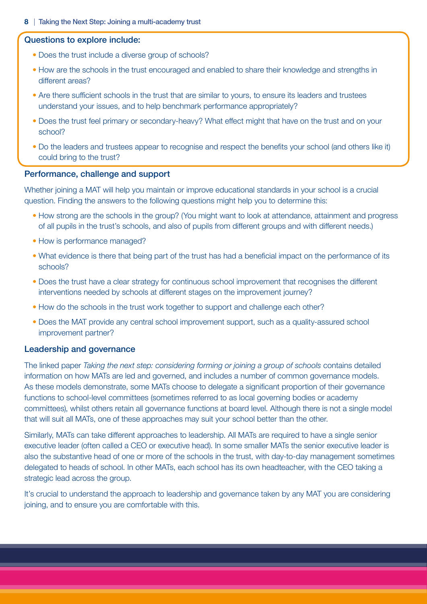#### Questions to explore include:

- Does the trust include a diverse group of schools?
- How are the schools in the trust encouraged and enabled to share their knowledge and strengths in different areas?
- Are there sufficient schools in the trust that are similar to yours, to ensure its leaders and trustees understand your issues, and to help benchmark performance appropriately?
- Does the trust feel primary or secondary-heavy? What effect might that have on the trust and on your school?
- Do the leaders and trustees appear to recognise and respect the benefits your school (and others like it) could bring to the trust?

#### Performance, challenge and support

Whether joining a MAT will help you maintain or improve educational standards in your school is a crucial question. Finding the answers to the following questions might help you to determine this:

- How strong are the schools in the group? (You might want to look at attendance, attainment and progress of all pupils in the trust's schools, and also of pupils from different groups and with different needs.)
- How is performance managed?
- What evidence is there that being part of the trust has had a beneficial impact on the performance of its schools?
- Does the trust have a clear strategy for continuous school improvement that recognises the different interventions needed by schools at different stages on the improvement journey?
- How do the schools in the trust work together to support and challenge each other?
- Does the MAT provide any central school improvement support, such as a quality-assured school improvement partner?

#### Leadership and governance

The linked paper *Taking the next step: considering forming or joining a group of schools* contains detailed information on how MATs are led and governed, and includes a number of common governance models. As these models demonstrate, some MATs choose to delegate a significant proportion of their governance functions to school-level committees (sometimes referred to as local governing bodies or academy committees), whilst others retain all governance functions at board level. Although there is not a single model that will suit all MATs, one of these approaches may suit your school better than the other.

Similarly, MATs can take different approaches to leadership. All MATs are required to have a single senior executive leader (often called a CEO or executive head). In some smaller MATs the senior executive leader is also the substantive head of one or more of the schools in the trust, with day-to-day management sometimes delegated to heads of school. In other MATs, each school has its own headteacher, with the CEO taking a strategic lead across the group.

It's crucial to understand the approach to leadership and governance taken by any MAT you are considering joining, and to ensure you are comfortable with this.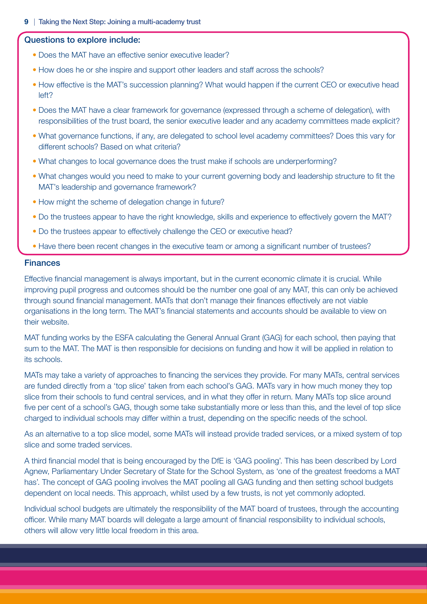#### Questions to explore include:

- Does the MAT have an effective senior executive leader?
- How does he or she inspire and support other leaders and staff across the schools?
- How effective is the MAT's succession planning? What would happen if the current CEO or executive head left?
- Does the MAT have a clear framework for governance (expressed through a scheme of delegation), with responsibilities of the trust board, the senior executive leader and any academy committees made explicit?
- What governance functions, if any, are delegated to school level academy committees? Does this vary for different schools? Based on what criteria?
- What changes to local governance does the trust make if schools are underperforming?
- What changes would you need to make to your current governing body and leadership structure to fit the MAT's leadership and governance framework?
- How might the scheme of delegation change in future?
- Do the trustees appear to have the right knowledge, skills and experience to effectively govern the MAT?
- Do the trustees appear to effectively challenge the CEO or executive head?
- Have there been recent changes in the executive team or among a significant number of trustees?

#### **Finances**

Effective financial management is always important, but in the current economic climate it is crucial. While improving pupil progress and outcomes should be the number one goal of any MAT, this can only be achieved through sound financial management. MATs that don't manage their finances effectively are not viable organisations in the long term. The MAT's financial statements and accounts should be available to view on their website.

MAT funding works by the ESFA calculating the General Annual Grant (GAG) for each school, then paying that sum to the MAT. The MAT is then responsible for decisions on funding and how it will be applied in relation to its schools.

MATs may take a variety of approaches to financing the services they provide. For many MATs, central services are funded directly from a 'top slice' taken from each school's GAG. MATs vary in how much money they top slice from their schools to fund central services, and in what they offer in return. Many MATs top slice around five per cent of a school's GAG, though some take substantially more or less than this, and the level of top slice charged to individual schools may differ within a trust, depending on the specific needs of the school.

As an alternative to a top slice model, some MATs will instead provide traded services, or a mixed system of top slice and some traded services.

A third financial model that is being encouraged by the DfE is 'GAG pooling'. This has been described by Lord Agnew, Parliamentary Under Secretary of State for the School System, as 'one of the greatest freedoms a MAT has'. The concept of GAG pooling involves the MAT pooling all GAG funding and then setting school budgets dependent on local needs. This approach, whilst used by a few trusts, is not yet commonly adopted.

Individual school budgets are ultimately the responsibility of the MAT board of trustees, through the accounting officer. While many MAT boards will delegate a large amount of financial responsibility to individual schools, others will allow very little local freedom in this area.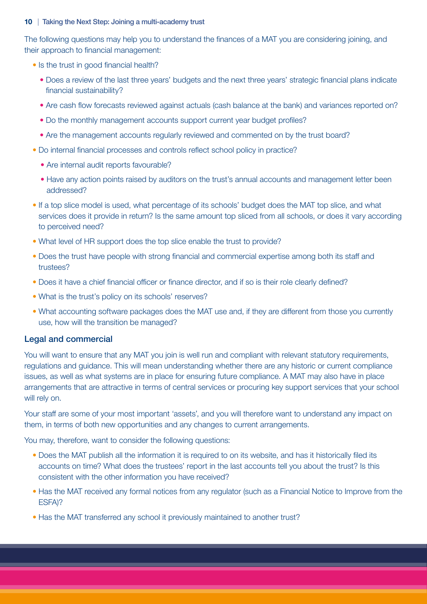The following questions may help you to understand the finances of a MAT you are considering joining, and their approach to financial management:

- Is the trust in good financial health?
	- Does a review of the last three years' budgets and the next three years' strategic financial plans indicate financial sustainability?
	- Are cash flow forecasts reviewed against actuals (cash balance at the bank) and variances reported on?
	- Do the monthly management accounts support current year budget profiles?
	- Are the management accounts regularly reviewed and commented on by the trust board?
- Do internal financial processes and controls reflect school policy in practice?
	- Are internal audit reports favourable?
	- Have any action points raised by auditors on the trust's annual accounts and management letter been addressed?
- If a top slice model is used, what percentage of its schools' budget does the MAT top slice, and what services does it provide in return? Is the same amount top sliced from all schools, or does it vary according to perceived need?
- What level of HR support does the top slice enable the trust to provide?
- Does the trust have people with strong financial and commercial expertise among both its staff and trustees?
- Does it have a chief financial officer or finance director, and if so is their role clearly defined?
- What is the trust's policy on its schools' reserves?
- What accounting software packages does the MAT use and, if they are different from those you currently use, how will the transition be managed?

### Legal and commercial

You will want to ensure that any MAT you join is well run and compliant with relevant statutory requirements, regulations and guidance. This will mean understanding whether there are any historic or current compliance issues, as well as what systems are in place for ensuring future compliance. A MAT may also have in place arrangements that are attractive in terms of central services or procuring key support services that your school will rely on.

Your staff are some of your most important 'assets', and you will therefore want to understand any impact on them, in terms of both new opportunities and any changes to current arrangements.

You may, therefore, want to consider the following questions:

- Does the MAT publish all the information it is required to on its website, and has it historically filed its accounts on time? What does the trustees' report in the last accounts tell you about the trust? Is this consistent with the other information you have received?
- Has the MAT received any formal notices from any regulator (such as a Financial Notice to Improve from the ESFA)?
- Has the MAT transferred any school it previously maintained to another trust?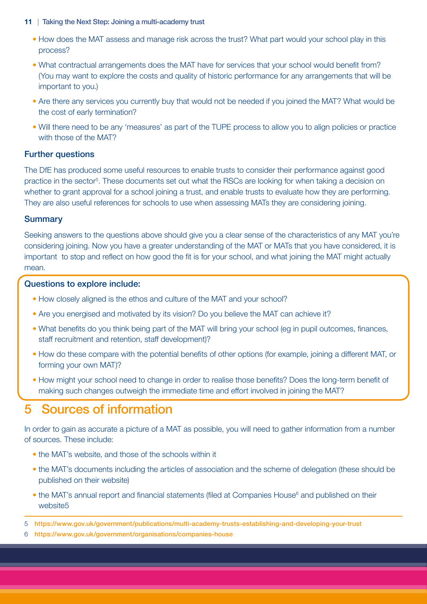- How does the MAT assess and manage risk across the trust? What part would your school play in this process?
- What contractual arrangements does the MAT have for services that your school would benefit from? (You may want to explore the costs and quality of historic performance for any arrangements that will be important to you.)
- Are there any services you currently buy that would not be needed if you joined the MAT? What would be the cost of early termination?
- Will there need to be any 'measures' as part of the TUPE process to allow you to align policies or practice with those of the MAT?

## Further questions

The DfE has produced some useful resources to enable trusts to consider their performance against good practice in the sector<sup>5</sup>. These documents set out what the RSCs are looking for when taking a decision on whether to grant approval for a school joining a trust, and enable trusts to evaluate how they are performing. They are also useful references for schools to use when assessing MATs they are considering joining.

## **Summary**

Seeking answers to the questions above should give you a clear sense of the characteristics of any MAT you're considering joining. Now you have a greater understanding of the MAT or MATs that you have considered, it is important to stop and reflect on how good the fit is for your school, and what joining the MAT might actually mean.

### Questions to explore include:

- How closely aligned is the ethos and culture of the MAT and your school?
- Are you energised and motivated by its vision? Do you believe the MAT can achieve it?
- What benefits do you think being part of the MAT will bring your school (eg in pupil outcomes, finances, staff recruitment and retention, staff development)?
- How do these compare with the potential benefits of other options (for example, joining a different MAT, or forming your own MAT)?
- How might your school need to change in order to realise those benefits? Does the long-term benefit of making such changes outweigh the immediate time and effort involved in joining the MAT?

## 5 Sources of information

In order to gain as accurate a picture of a MAT as possible, you will need to gather information from a number of sources. These include:

- the MAT's website, and those of the schools within it
- the MAT's documents including the articles of association and the scheme of delegation (these should be published on their website)
- the MAT's annual report and financial statements (filed at Companies House<sup>6</sup> and published on their website<sub>5</sub>

5 https://www.gov.uk/government/publications/multi-academy-trusts-establishing-and-developing-your-trust

6 https://www.gov.uk/government/organisations/companies-house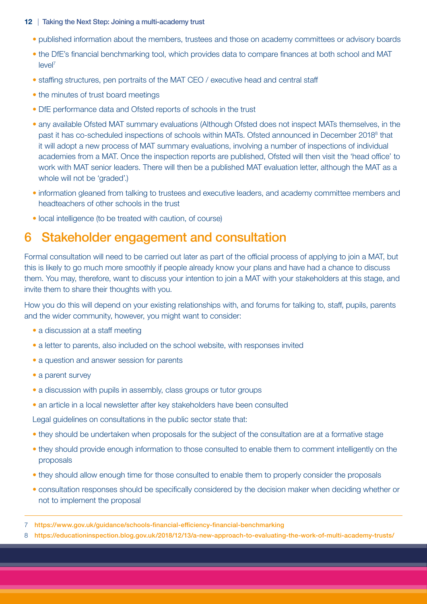- published information about the members, trustees and those on academy committees or advisory boards
- the DfE's financial benchmarking tool, which provides data to compare finances at both school and MAT leve<sup>l7</sup>
- staffing structures, pen portraits of the MAT CEO / executive head and central staff
- the minutes of trust board meetings
- DfE performance data and Ofsted reports of schools in the trust
- any available Ofsted MAT summary evaluations (Although Ofsted does not inspect MATs themselves, in the past it has co-scheduled inspections of schools within MATs. Ofsted announced in December 2018<sup>8</sup> that it will adopt a new process of MAT summary evaluations, involving a number of inspections of individual academies from a MAT. Once the inspection reports are published, Ofsted will then visit the 'head office' to work with MAT senior leaders. There will then be a published MAT evaluation letter, although the MAT as a whole will not be 'graded'.)
- information gleaned from talking to trustees and executive leaders, and academy committee members and headteachers of other schools in the trust
- local intelligence (to be treated with caution, of course)

## 6 Stakeholder engagement and consultation

Formal consultation will need to be carried out later as part of the official process of applying to join a MAT, but this is likely to go much more smoothly if people already know your plans and have had a chance to discuss them. You may, therefore, want to discuss your intention to join a MAT with your stakeholders at this stage, and invite them to share their thoughts with you.

How you do this will depend on your existing relationships with, and forums for talking to, staff, pupils, parents and the wider community, however, you might want to consider:

- a discussion at a staff meeting
- a letter to parents, also included on the school website, with responses invited
- a question and answer session for parents
- a parent survey
- a discussion with pupils in assembly, class groups or tutor groups
- an article in a local newsletter after key stakeholders have been consulted

Legal guidelines on consultations in the public sector state that:

- they should be undertaken when proposals for the subject of the consultation are at a formative stage
- they should provide enough information to those consulted to enable them to comment intelligently on the proposals
- they should allow enough time for those consulted to enable them to properly consider the proposals
- consultation responses should be specifically considered by the decision maker when deciding whether or not to implement the proposal

8 https://educationinspection.blog.gov.uk/2018/12/13/a-new-approach-to-evaluating-the-work-of-multi-academy-trusts/

<sup>7</sup> https://www.gov.uk/guidance/schools-financial-efficiency-financial-benchmarking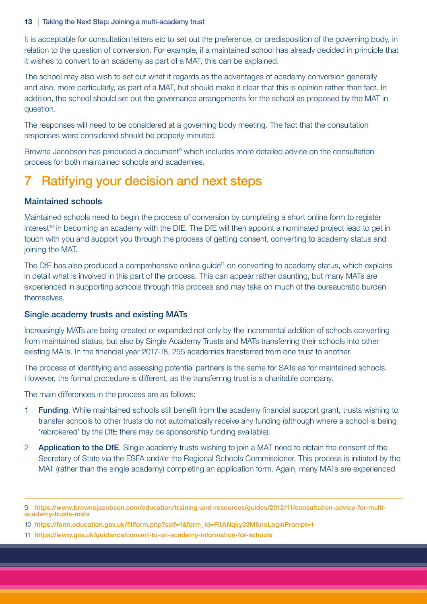It is acceptable for consultation letters etc to set out the preference, or predisposition of the governing body, in relation to the question of conversion. For example, if a maintained school has already decided in principle that it wishes to convert to an academy as part of a MAT, this can be explained.

The school may also wish to set out what it regards as the advantages of academy conversion generally and also, more particularly, as part of a MAT, but should make it clear that this is opinion rather than fact. In addition, the school should set out the governance arrangements for the school as proposed by the MAT in question.

The responses will need to be considered at a governing body meeting. The fact that the consultation responses were considered should be properly minuted.

Browne Jacobson has produced a document<sup>9</sup> which includes more detailed advice on the consultation process for both maintained schools and academies.

## 7 Ratifying your decision and next steps

## Maintained schools

Maintained schools need to begin the process of conversion by completing a short online form to register interest<sup>10</sup> in becoming an academy with the DfE. The DfE will then appoint a nominated project lead to get in touch with you and support you through the process of getting consent, converting to academy status and joining the MAT.

The DfE has also produced a comprehensive online guide<sup>11</sup> on converting to academy status, which explains in detail what is involved in this part of the process. This can appear rather daunting, but many MATs are experienced in supporting schools through this process and may take on much of the bureaucratic burden themselves.

### Single academy trusts and existing MATs

Increasingly MATs are being created or expanded not only by the incremental addition of schools converting from maintained status, but also by Single Academy Trusts and MATs transferring their schools into other existing MATs. In the financial year 2017-18, 255 academies transferred from one trust to another.

The process of identifying and assessing potential partners is the same for SATs as for maintained schools. However, the formal procedure is different, as the transferring trust is a charitable company.

The main differences in the process are as follows:

- **1 Funding.** While maintained schools still benefit from the academy financial support grant, trusts wishing to transfer schools to other trusts do not automatically receive any funding (although where a school is being 'rebrokered' by the DfE there may be sponsorship funding available).
- 2 **Application to the DfE**. Single academy trusts wishing to join a MAT need to obtain the consent of the Secretary of State via the ESFA and/or the Regional Schools Commissioner. This process is initiated by the MAT (rather than the single academy) completing an application form. Again, many MATs are experienced

<sup>9</sup> https://www.brownejacobson.com/education/training-and-resources/guides/2012/11/consultation-advice-for-multiacademy-trusts-mats

<sup>10</sup> https://form.education.gov.uk/fillform.php?self=1&form\_id=FitANqky23M&noLoginPrompt=1

<sup>11</sup> https://www.gov.uk/guidance/convert-to-an-academy-information-for-schools